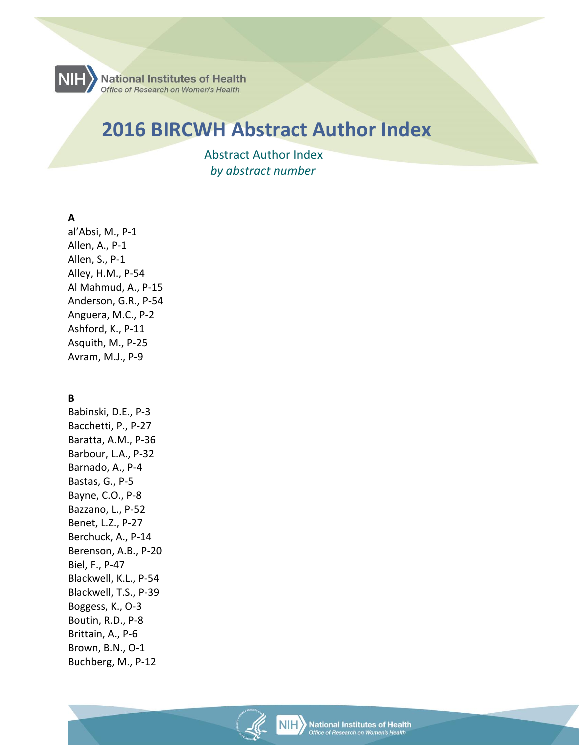

# **2016 BIRCWH Abstract Author Index**

 Abstract Author Index  *by abstract number* 

### **A**

al'Absi, M., P-1 Allen, A., P-1 Allen, S., P-1 Alley, H.M., P-54 Al Mahmud, A., P-15 Anderson, G.R., P-54 Anguera, M.C., P-2 Ashford, K., P-11 Asquith, M., P-25 Avram, M.J., P-9

#### **B**

Babinski, D.E., P-3 Bacchetti, P., P-27 Baratta, A.M., P-36 Barbour, L.A., P-32 Barnado, A., P-4 Bastas, G., P-5 Bayne, C.O., P-8 Bazzano, L., P-52 Benet, L.Z., P-27 Berchuck, A., P-14 Berenson, A.B., P-20 Biel, F., P-47 Blackwell, K.L., P-54 Blackwell, T.S., P-39 Boggess, K., O-3 Boutin, R.D., P-8 Brittain, A., P-6 Brown, B.N., O-1 Buchberg, M., P-12

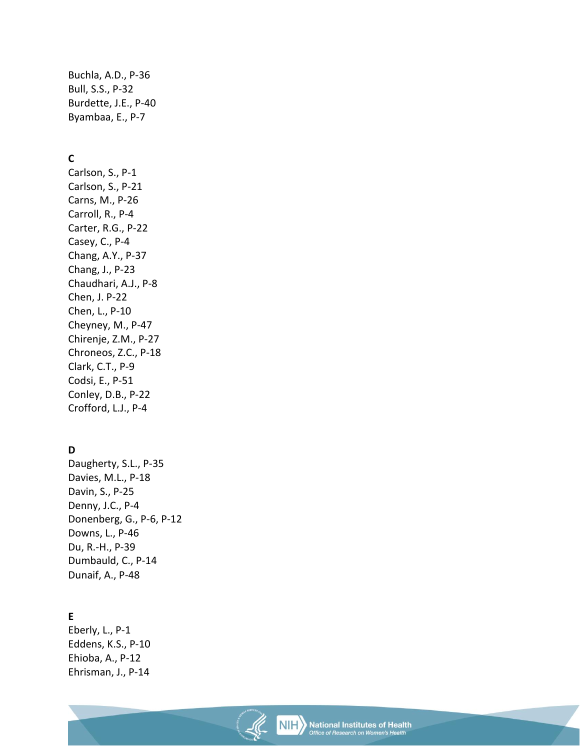Buchla, A.D., P-36 Bull, S.S., P-32 Burdette, J.E., P-40 Byambaa, E., P-7

# **C**

Carlson, S., P-1 Carlson, S., P-21 Carns, M., P-26 Carroll, R., P-4 Carter, R.G., P-22 Casey, C., P-4 Chang, A.Y., P-37 Chang, J., P-23 Chaudhari, A.J., P-8 Chen, J. P-22 Chen, L., P-10 Cheyney, M., P-47 Chirenje, Z.M., P-27 Chroneos, Z.C., P-18 Clark, C.T., P-9 Codsi, E., P-51 Conley, D.B., P-22 Crofford, L.J., P-4

# **D**

Daugherty, S.L., P-35 Davies, M.L., P-18 Davin, S., P-25 Denny, J.C., P-4 Donenberg, G., P-6, P-12 Downs, L., P-46 Du, R.-H., P-39 Dumbauld, C., P-14 Dunaif, A., P-48

# **E**

Eberly, L., P-1 Eddens, K.S., P-10 Ehioba, A., P-12 Ehrisman, J., P-14

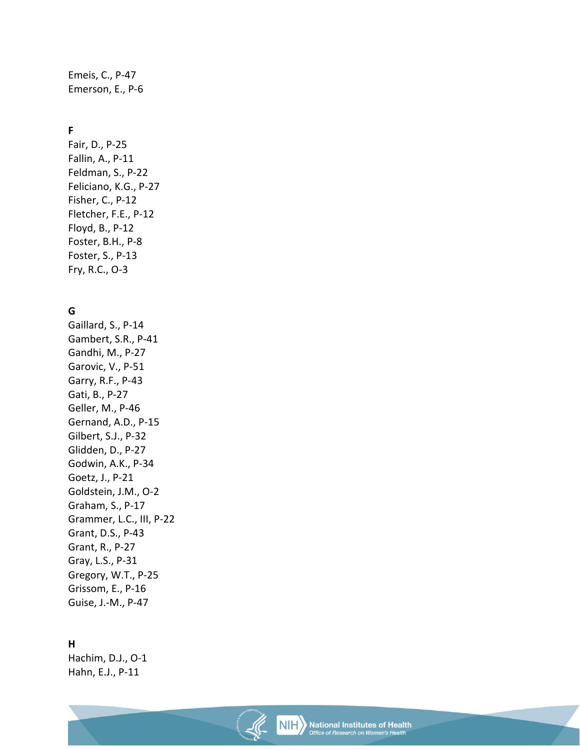Emeis, C., P-47 Emerson, E., P-6

# **F**

Fair, D., P-25 Fallin, A., P-11 Feldman, S., P-22 Feliciano, K.G., P-27 Fisher, C., P-12 Fletcher, F.E., P-12 Floyd, B., P-12 Foster, B.H., P-8 Foster, S., P-13 Fry, R.C., O-3

# **G**

Gaillard, S., P-14 Gambert, S.R., P-41 Gandhi, M., P-27 Garovic, V., P-51 Garry, R.F., P-43 Gati, B., P-27 Geller, M., P-46 Gernand, A.D., P-15 Gilbert, S.J., P-32 Glidden, D., P-27 Godwin, A.K., P-34 Goetz, J., P-21 Goldstein, J.M., O-2 Graham, S., P-17 Grammer, L.C., III, P-22 Grant, D.S., P-43 Grant, R., P-27 Gray, L.S., P-31 Gregory, W.T., P-25 Grissom, E., P-16 Guise, J.-M., P-47

#### **H**

Hachim, D.J., O-1 Hahn, E.J., P-11

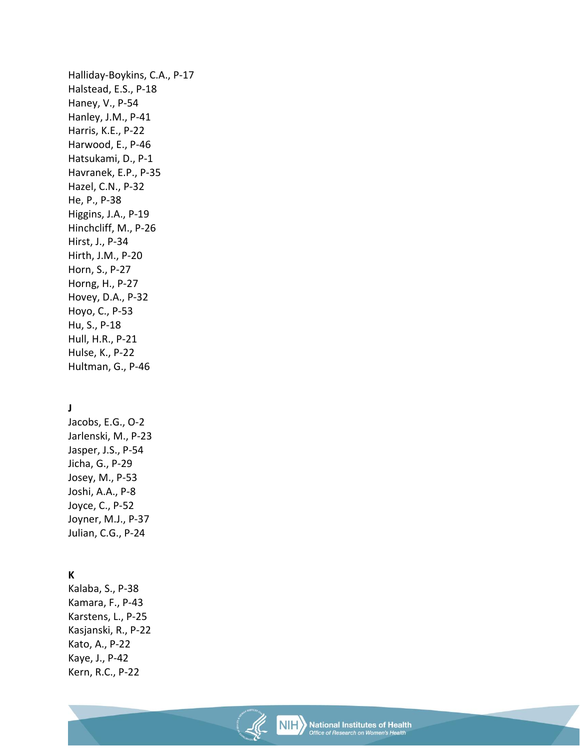Halliday-Boykins, C.A., P-17 Halstead, E.S., P-18 Haney, V., P-54 Hanley, J.M., P-41 Harris, K.E., P-22 Harwood, E., P-46 Hatsukami, D., P-1 Havranek, E.P., P-35 Hazel, C.N., P-32 He, P., P-38 Higgins, J.A., P-19 Hinchcliff, M., P-26 Hirst, J., P-34 Hirth, J.M., P-20 Horn, S., P-27 Horng, H., P-27 Hovey, D.A., P-32 Hoyo, C., P-53 Hu, S., P-18 Hull, H.R., P-21 Hulse, K., P-22 Hultman, G., P-46

### **J**

Jacobs, E.G., O-2 Jarlenski, M., P-23 Jasper, J.S., P-54 Jicha, G., P-29 Josey, M., P-53 Joshi, A.A., P-8 Joyce, C., P-52 Joyner, M.J., P-37 Julian, C.G., P-24

#### **K**

Kalaba, S., P-38 Kamara, F., P-43 Karstens, L., P-25 Kasjanski, R., P-22 Kato, A., P-22 Kaye, J., P-42 Kern, R.C., P-22

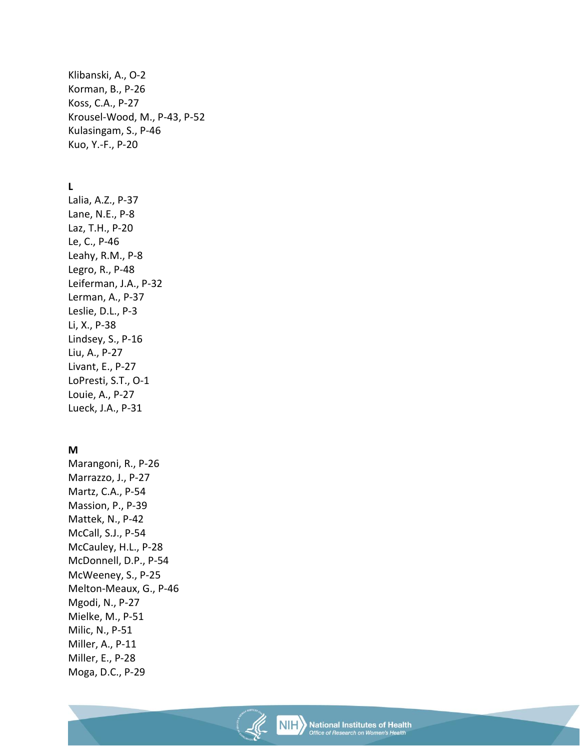Klibanski, A., O-2 Korman, B., P-26 Koss, C.A., P-27 Krousel-Wood, M., P-43, P-52 Kulasingam, S., P-46 Kuo, Y.-F., P-20

# **L**

Lalia, A.Z., P-37 Lane, N.E., P-8 Laz, T.H., P-20 Le, C., P-46 Leahy, R.M., P-8 Legro, R., P-48 Leiferman, J.A., P-32 Lerman, A., P-37 Leslie, D.L., P-3 Li, X., P-38 Lindsey, S., P-16 Liu, A., P-27 Livant, E., P-27 LoPresti, S.T., O-1 Louie, A., P-27 Lueck, J.A., P-31

#### **M**

Marangoni, R., P-26 Marrazzo, J., P-27 Martz, C.A., P-54 Massion, P., P-39 Mattek, N., P-42 McCall, S.J., P-54 McCauley, H.L., P-28 McDonnell, D.P., P-54 McWeeney, S., P-25 Melton-Meaux, G., P-46 Mgodi, N., P-27 Mielke, M., P-51 Milic, N., P-51 Miller, A., P-11 Miller, E., P-28 Moga, D.C., P-29

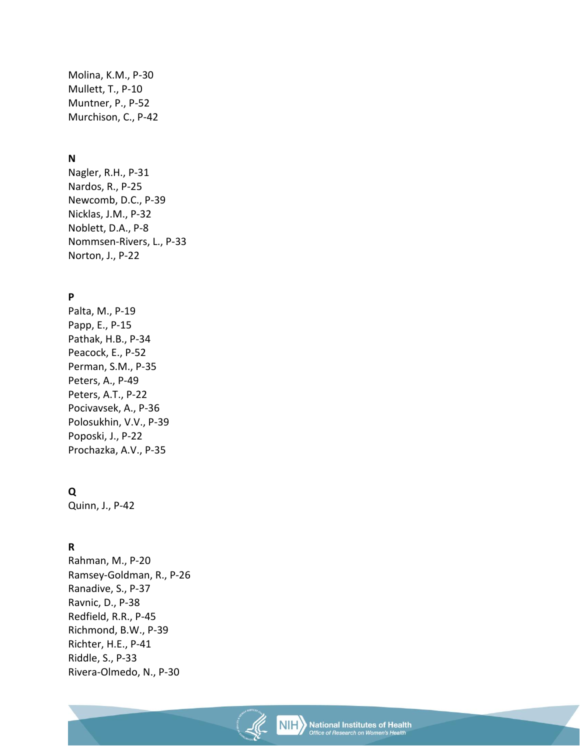Molina, K.M., P-30 Mullett, T., P-10 Muntner, P., P-52 Murchison, C., P-42

#### **N**

Nagler, R.H., P-31 Nardos, R., P-25 Newcomb, D.C., P-39 Nicklas, J.M., P-32 Noblett, D.A., P-8 Nommsen-Rivers, L., P-33 Norton, J., P-22

# **P**

Palta, M., P-19 Papp, E., P-15 Pathak, H.B., P-34 Peacock, E., P-52 Perman, S.M., P-35 Peters, A., P-49 Peters, A.T., P-22 Pocivavsek, A., P-36 Polosukhin, V.V., P-39 Poposki, J., P-22 Prochazka, A.V., P-35

#### **Q**

Quinn, J., P-42

#### **R**

Rahman, M., P-20 Ramsey-Goldman, R., P-26 Ranadive, S., P-37 Ravnic, D., P-38 Redfield, R.R., P-45 Richmond, B.W., P-39 Richter, H.E., P-41 Riddle, S., P-33 Rivera-Olmedo, N., P-30

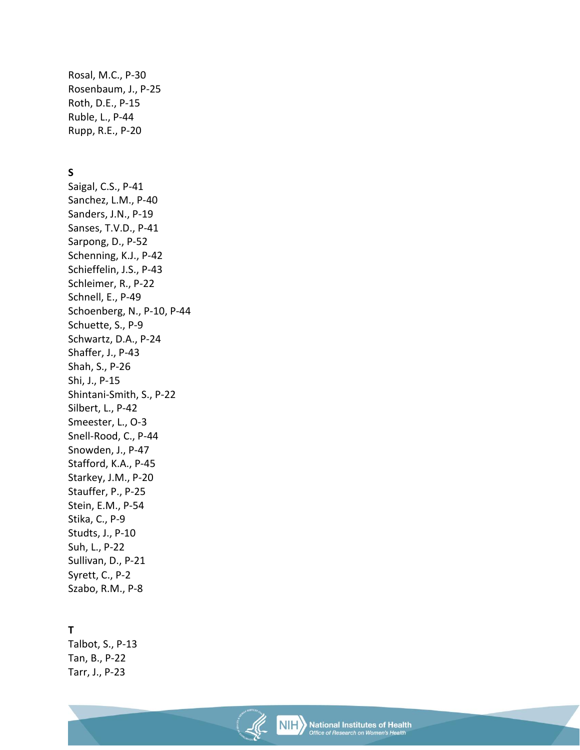Rosal, M.C., P-30 Rosenbaum, J., P-25 Roth, D.E., P-15 Ruble, L., P-44 Rupp, R.E., P-20

#### **S**

Saigal, C.S., P-41 Sanchez, L.M., P-40 Sanders, J.N., P-19 Sanses, T.V.D., P-41 Sarpong, D., P-52 Schenning, K.J., P-42 Schieffelin, J.S., P-43 Schleimer, R., P-22 Schnell, E., P-49 Schoenberg, N., P-10, P-44 Schuette, S., P-9 Schwartz, D.A., P-24 Shaffer, J., P-43 Shah, S., P-26 Shi, J., P-15 Shintani-Smith, S., P-22 Silbert, L., P-42 Smeester, L., O-3 Snell-Rood, C., P-44 Snowden, J., P-47 Stafford, K.A., P-45 Starkey, J.M., P-20 Stauffer, P., P-25 Stein, E.M., P-54 Stika, C., P-9 Studts, J., P-10 Suh, L., P-22 Sullivan, D., P-21 Syrett, C., P-2 Szabo, R.M., P-8

#### **T**

Talbot, S., P-13 Tan, B., P-22 Tarr, J., P-23

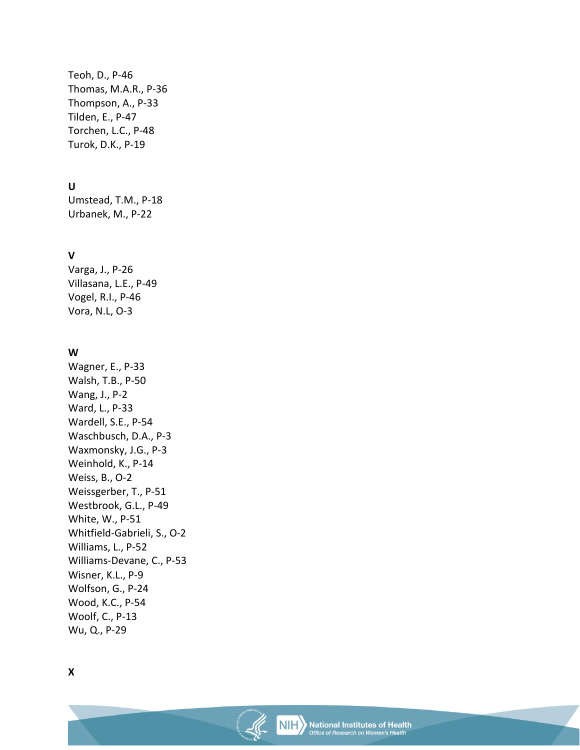Teoh, D., P-46 Thomas, M.A.R., P-36 Thompson, A., P-33 Tilden, E., P-47 Torchen, L.C., P-48 Turok, D.K., P-19

### **U**

Umstead, T.M., P-18 Urbanek, M., P-22

# **V**

Varga, J., P-26 Villasana, L.E., P-49 Vogel, R.I., P-46 Vora, N.L, O-3

# **W**

Wagner, E., P-33 Walsh, T.B., P-50 Wang, J., P-2 Ward, L., P-33 Wardell, S.E., P-54 Waschbusch, D.A., P-3 Waxmonsky, J.G., P-3 Weinhold, K., P-14 Weiss, B., O-2 Weissgerber, T., P-51 Westbrook, G.L., P-49 White, W., P-51 Whitfield-Gabrieli, S., O-2 Williams, L., P-52 Williams-Devane, C., P-53 Wisner, K.L., P-9 Wolfson, G., P-24 Wood, K.C., P-54 Woolf, C., P-13 Wu, Q., P-29